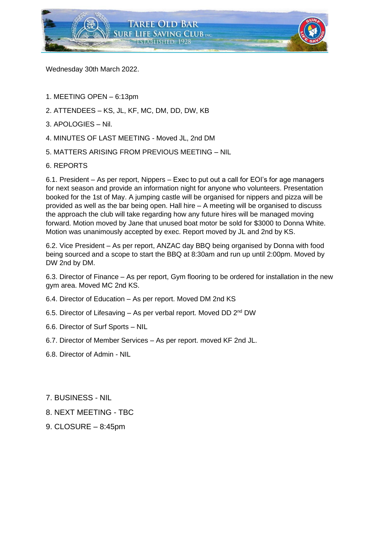

Wednesday 30th March 2022.

- 1. MEETING OPEN 6:13pm
- 2. ATTENDEES KS, JL, KF, MC, DM, DD, DW, KB
- 3. APOLOGIES Nil.
- 4. MINUTES OF LAST MEETING Moved JL, 2nd DM
- 5. MATTERS ARISING FROM PREVIOUS MEETING NIL
- 6. REPORTS

6.1. President – As per report, Nippers – Exec to put out a call for EOI's for age managers for next season and provide an information night for anyone who volunteers. Presentation booked for the 1st of May. A jumping castle will be organised for nippers and pizza will be provided as well as the bar being open. Hall hire – A meeting will be organised to discuss the approach the club will take regarding how any future hires will be managed moving forward. Motion moved by Jane that unused boat motor be sold for \$3000 to Donna White. Motion was unanimously accepted by exec. Report moved by JL and 2nd by KS.

6.2. Vice President – As per report, ANZAC day BBQ being organised by Donna with food being sourced and a scope to start the BBQ at 8:30am and run up until 2:00pm. Moved by DW 2nd by DM.

6.3. Director of Finance – As per report, Gym flooring to be ordered for installation in the new gym area. Moved MC 2nd KS.

- 6.4. Director of Education As per report. Moved DM 2nd KS
- 6.5. Director of Lifesaving As per verbal report. Moved DD  $2^{nd}$  DW
- 6.6. Director of Surf Sports NIL
- 6.7. Director of Member Services As per report. moved KF 2nd JL.
- 6.8. Director of Admin NIL
- 7. BUSINESS NIL
- 8. NEXT MEETING TBC
- 9. CLOSURE 8:45pm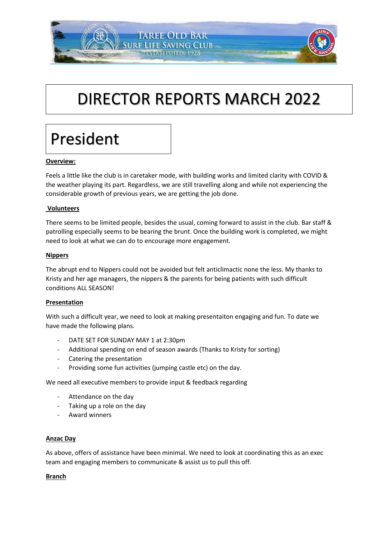# DIRECTOR REPORTS MARCH 2022

**TAREE OLD BAR URF LIFE SAVING CLUB INC. ESTABLISHED. 1928** 

# President

# **Overview:**

Feels a little like the club is in caretaker mode, with building works and limited clarity with COVID & the weather playing its part. Regardless, we are still travelling along and while not experiencing the considerable growth of previous years, we are getting the job done.

## **Volunteers**

There seems to be limited people, besides the usual, coming forward to assist in the club. Bar staff & patrolling especially seems to be bearing the brunt. Once the building work is completed, we might need to look at what we can do to encourage more engagement.

### **Nippers**

The abrupt end to Nippers could not be avoided but felt anticlimactic none the less. My thanks to Kristy and her age managers, the nippers & the parents for being patients with such difficult conditions ALL SEASON!

#### **Presentation**

With such a difficult year, we need to look at making presentaiton engaging and fun. To date we have made the following plans.

- DATE SET FOR SUNDAY MAY 1 at 2:30pm
- Additional spending on end of season awards (Thanks to Kristy for sorting)
- Catering the presentation
- Providing some fun activities (jumping castle etc) on the day.

We need all executive members to provide input & feedback regarding

- Attendance on the day
- Taking up a role on the day
- Award winners

#### **Anzac Day**

As above, offers of assistance have been minimal. We need to look at coordinating this as an exec team and engaging members to communicate & assist us to pull this off.

#### **Branch**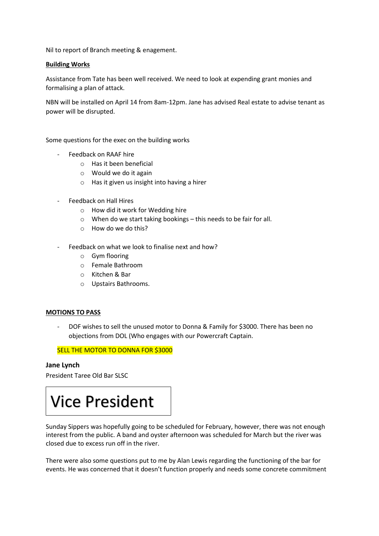Nil to report of Branch meeting & enagement.

### **Building Works**

Assistance from Tate has been well received. We need to look at expending grant monies and formalising a plan of attack.

NBN will be installed on April 14 from 8am-12pm. Jane has advised Real estate to advise tenant as power will be disrupted.

Some questions for the exec on the building works

- Feedback on RAAF hire
	- o Has it been beneficial
	- o Would we do it again
	- o Has it given us insight into having a hirer
- Feedback on Hall Hires
	- o How did it work for Wedding hire
	- o When do we start taking bookings this needs to be fair for all.
	- o How do we do this?
- Feedback on what we look to finalise next and how?
	- o Gym flooring
	- o Female Bathroom
	- o Kitchen & Bar
	- o Upstairs Bathrooms.

#### **MOTIONS TO PASS**

DOF wishes to sell the unused motor to Donna & Family for \$3000. There has been no objections from DOL (Who engages with our Powercraft Captain.

SELL THE MOTOR TO DONNA FOR \$3000

#### **Jane Lynch**

President Taree Old Bar SLSC

# Vice President

Sunday Sippers was hopefully going to be scheduled for February, however, there was not enough interest from the public. A band and oyster afternoon was scheduled for March but the river was closed due to excess run off in the river.

There were also some questions put to me by Alan Lewis regarding the functioning of the bar for events. He was concerned that it doesn't function properly and needs some concrete commitment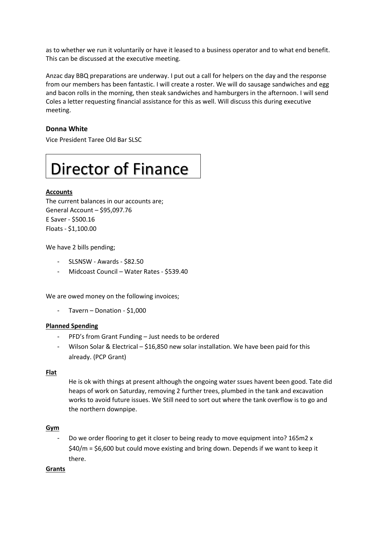as to whether we run it voluntarily or have it leased to a business operator and to what end benefit. This can be discussed at the executive meeting.

Anzac day BBQ preparations are underway. I put out a call for helpers on the day and the response from our members has been fantastic. I will create a roster. We will do sausage sandwiches and egg and bacon rolls in the morning, then steak sandwiches and hamburgers in the afternoon. I will send Coles a letter requesting financial assistance for this as well. Will discuss this during executive meeting.

## **Donna White**

Vice President Taree Old Bar SLSC

# Director of Finance

#### **Accounts**

The current balances in our accounts are; General Account – \$95,097.76 E Saver - \$500.16 Floats - \$1,100.00

We have 2 bills pending;

- SLSNSW Awards \$82.50
- Midcoast Council Water Rates \$539.40

We are owed money on the following invoices;

- Tavern – Donation - \$1,000

#### **Planned Spending**

- PFD's from Grant Funding Just needs to be ordered
- Wilson Solar & Electrical \$16,850 new solar installation. We have been paid for this already. (PCP Grant)

#### **Flat**

He is ok with things at present although the ongoing water ssues havent been good. Tate did heaps of work on Saturday, removing 2 further trees, plumbed in the tank and excavation works to avoid future issues. We Still need to sort out where the tank overflow is to go and the northern downpipe.

#### **Gym**

Do we order flooring to get it closer to being ready to move equipment into? 165m2 x \$40/m = \$6,600 but could move existing and bring down. Depends if we want to keep it there.

#### **Grants**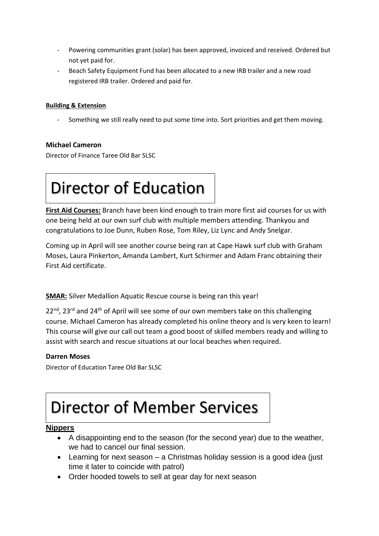- Powering communities grant (solar) has been approved, invoiced and received. Ordered but not yet paid for.
- Beach Safety Equipment Fund has been allocated to a new IRB trailer and a new road registered IRB trailer. Ordered and paid for.

# **Building & Extension**

Something we still really need to put some time into. Sort priorities and get them moving.

# **Michael Cameron**

Director of Finance Taree Old Bar SLSC

# Director of Education

**First Aid Courses:** Branch have been kind enough to train more first aid courses for us with one being held at our own surf club with multiple members attending. Thankyou and congratulations to Joe Dunn, Ruben Rose, Tom Riley, Liz Lync and Andy Snelgar.

Coming up in April will see another course being ran at Cape Hawk surf club with Graham Moses, Laura Pinkerton, Amanda Lambert, Kurt Schirmer and Adam Franc obtaining their First Aid certificate.

**SMAR:** Silver Medallion Aquatic Rescue course is being ran this year!

 $22<sup>nd</sup>$ , 23<sup>rd</sup> and 24<sup>th</sup> of April will see some of our own members take on this challenging course. Michael Cameron has already completed his online theory and is very keen to learn! This course will give our call out team a good boost of skilled members ready and willing to assist with search and rescue situations at our local beaches when required.

# **Darren Moses**

Director of Education Taree Old Bar SLSC

# Director of Member Services

# **Nippers**

- A disappointing end to the season (for the second year) due to the weather, we had to cancel our final session.
- Learning for next season a Christmas holiday session is a good idea (just time it later to coincide with patrol)
- Order hooded towels to sell at gear day for next season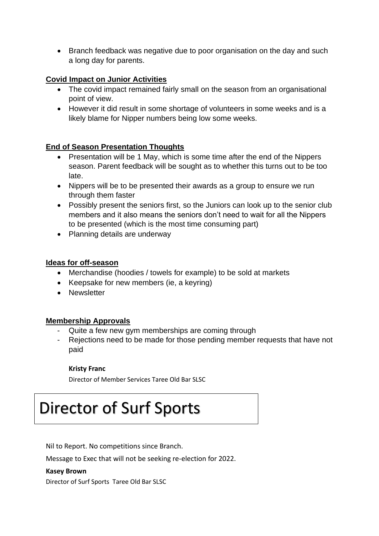• Branch feedback was negative due to poor organisation on the day and such a long day for parents.

# **Covid Impact on Junior Activities**

- The covid impact remained fairly small on the season from an organisational point of view.
- However it did result in some shortage of volunteers in some weeks and is a likely blame for Nipper numbers being low some weeks.

# **End of Season Presentation Thoughts**

- Presentation will be 1 May, which is some time after the end of the Nippers season. Parent feedback will be sought as to whether this turns out to be too late.
- Nippers will be to be presented their awards as a group to ensure we run through them faster
- Possibly present the seniors first, so the Juniors can look up to the senior club members and it also means the seniors don't need to wait for all the Nippers to be presented (which is the most time consuming part)
- Planning details are underway

# **Ideas for off-season**

- Merchandise (hoodies / towels for example) to be sold at markets
- Keepsake for new members (ie, a keyring)
- Newsletter

# **Membership Approvals**

- Quite a few new gym memberships are coming through
- Rejections need to be made for those pending member requests that have not paid

# **Kristy Franc**

Director of Member Services Taree Old Bar SLSC

# Director of Surf Sports

Nil to Report. No competitions since Branch.

Message to Exec that will not be seeking re-election for 2022.

## **Kasey Brown**

Director of Surf Sports Taree Old Bar SLSC